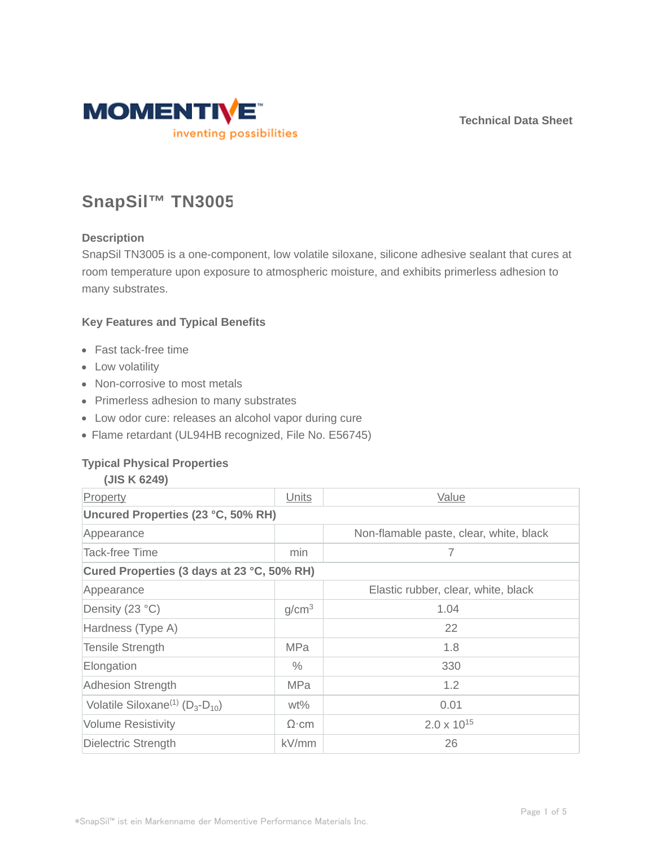**Technical Data Sheet**



# **SnapSil™ TN3005**

## **Description**

SnapSil TN3005 is a one-component, low volatile siloxane, silicone adhesive sealant that cures at room temperature upon exposure to atmospheric moisture, and exhibits primerless adhesion to many substrates.

## **Key Features and Typical Benefits**

- Fast tack-free time
- Low volatility
- Non-corrosive to most metals
- Primerless adhesion to many substrates
- Low odor cure: releases an alcohol vapor during cure
- Flame retardant (UL94HB recognized, File No. E56745)

#### **Typical Physical Properties**

| (JIS K 6249)                                          |                   |                                         |  |  |  |
|-------------------------------------------------------|-------------------|-----------------------------------------|--|--|--|
| Property                                              | Units             | Value                                   |  |  |  |
| Uncured Properties (23 °C, 50% RH)                    |                   |                                         |  |  |  |
| Appearance                                            |                   | Non-flamable paste, clear, white, black |  |  |  |
| <b>Tack-free Time</b>                                 | min               | 7                                       |  |  |  |
| Cured Properties (3 days at 23 °C, 50% RH)            |                   |                                         |  |  |  |
| Appearance                                            |                   | Elastic rubber, clear, white, black     |  |  |  |
| Density (23 °C)                                       | g/cm <sup>3</sup> | 1.04                                    |  |  |  |
| Hardness (Type A)                                     |                   | 22                                      |  |  |  |
| <b>Tensile Strength</b>                               | <b>MPa</b>        | 1.8                                     |  |  |  |
| Elongation                                            | $\%$              | 330                                     |  |  |  |
| <b>Adhesion Strength</b>                              | <b>MPa</b>        | 1.2                                     |  |  |  |
| Volatile Siloxane <sup>(1)</sup> ( $D_3$ - $D_{10}$ ) | $wt\%$            | 0.01                                    |  |  |  |
| <b>Volume Resistivity</b>                             | $\Omega$ ·cm      | $2.0 \times 10^{15}$                    |  |  |  |
| Dielectric Strength                                   | kV/mm             | 26                                      |  |  |  |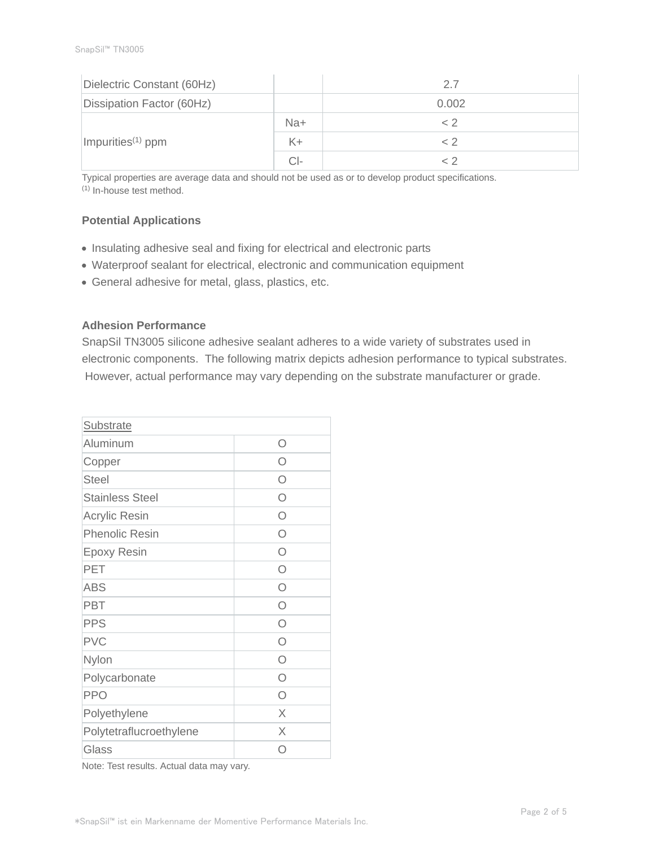| Dielectric Constant (60Hz)    |       | 2.7   |
|-------------------------------|-------|-------|
| Dissipation Factor (60Hz)     |       | 0.002 |
| Impurities <sup>(1)</sup> ppm | Na+   | < 2   |
|                               | $K +$ | ~ 2   |
|                               | CI-   |       |

Typical properties are average data and should not be used as or to develop product specifications. (1) In-house test method.

# **Potential Applications**

- Insulating adhesive seal and fixing for electrical and electronic parts
- Waterproof sealant for electrical, electronic and communication equipment
- General adhesive for metal, glass, plastics, etc.

## **Adhesion Performance**

SnapSil TN3005 silicone adhesive sealant adheres to a wide variety of substrates used in electronic components. The following matrix depicts adhesion performance to typical substrates. However, actual performance may vary depending on the substrate manufacturer or grade.

| Substrate               |            |
|-------------------------|------------|
| Aluminum                | Ω          |
| Copper                  | ∩          |
| <b>Steel</b>            | ∩          |
| <b>Stainless Steel</b>  | ∩          |
| Acrylic Resin           | Ω          |
| <b>Phenolic Resin</b>   | Ω          |
| <b>Epoxy Resin</b>      | Ω          |
| PET                     | $\bigcirc$ |
| <b>ABS</b>              | $\bigcap$  |
| <b>PBT</b>              | $\bigcirc$ |
| <b>PPS</b>              | $\bigcirc$ |
| <b>PVC</b>              | $\bigcap$  |
| Nylon                   | $\bigcirc$ |
| Polycarbonate           | Ω          |
| <b>PPO</b>              | ∩          |
| Polyethylene            | X          |
| Polytetraflucroethylene | X          |
| Glass                   | ( )        |

Note: Test results. Actual data may vary.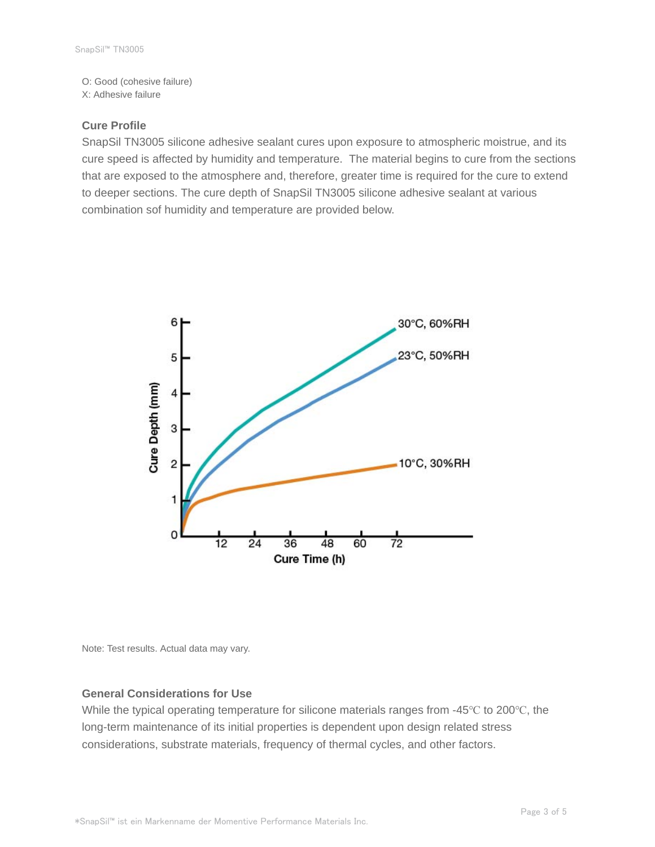O: Good (cohesive failure) X: Adhesive failure

### **Cure Profile**

SnapSil TN3005 silicone adhesive sealant cures upon exposure to atmospheric moistrue, and its cure speed is affected by humidity and temperature. The material begins to cure from the sections that are exposed to the atmosphere and, therefore, greater time is required for the cure to extend to deeper sections. The cure depth of SnapSil TN3005 silicone adhesive sealant at various combination sof humidity and temperature are provided below.



Note: Test results. Actual data may vary.

#### **General Considerations for Use**

While the typical operating temperature for silicone materials ranges from -45℃ to 200℃, the long-term maintenance of its initial properties is dependent upon design related stress considerations, substrate materials, frequency of thermal cycles, and other factors.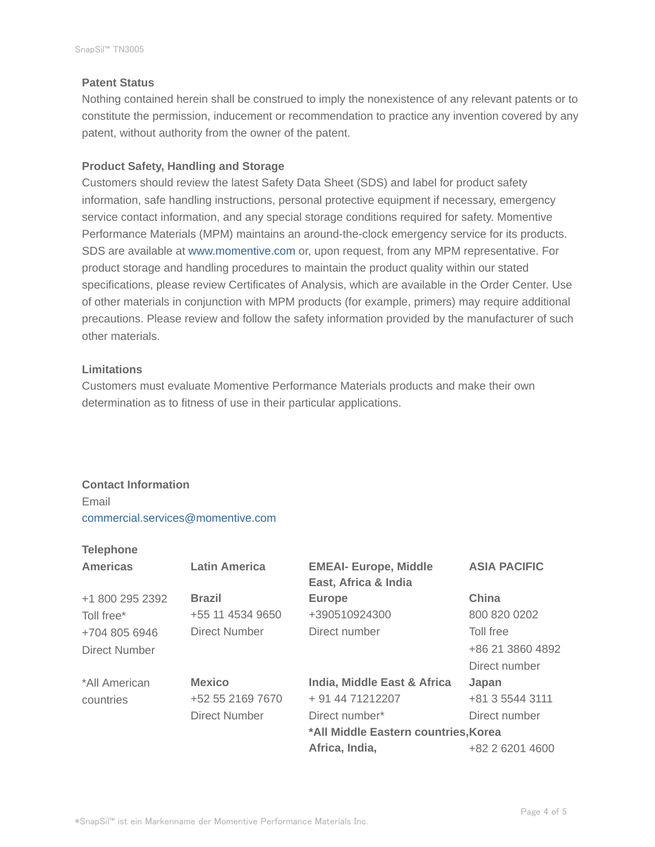## **Patent Status**

Nothing contained herein shall be construed to imply the nonexistence of any relevant patents or to constitute the permission, inducement or recommendation to practice any invention covered by any patent, without authority from the owner of the patent.

# **Product Safety, Handling and Storage**

Customers should review the latest Safety Data Sheet (SDS) and label for product safety information, safe handling instructions, personal protective equipment if necessary, emergency service contact information, and any special storage conditions required for safety. Momentive Performance Materials (MPM) maintains an around-the-clock emergency service for its products. SDS are available at www.momentive.com or, upon request, from any MPM representative. For product storage and handling procedures to maintain the product quality within our stated specifications, please review Certificates of Analysis, which are available in the Order Center. Use of other materials in conjunction with MPM products (for example, primers) may require additional precautions. Please review and follow the safety information provided by the manufacturer of such other materials.

# **Limitations**

Customers must evaluate Momentive Performance Materials products and make their own determination as to fitness of use in their particular applications.

# **Contact Information** Email commercial.services@momentive.com

# **Telephone**

| <b>Americas</b> | <b>Latin America</b> | <b>EMEAI- Europe, Middle</b><br>East, Africa & India | <b>ASIA PACIFIC</b> |
|-----------------|----------------------|------------------------------------------------------|---------------------|
| +1 800 295 2392 | <b>Brazil</b>        | <b>Europe</b>                                        | China               |
| Toll free*      | +55 11 4534 9650     | +390510924300                                        | 800 820 0202        |
| +704 805 6946   | <b>Direct Number</b> | Direct number                                        | Toll free           |
| Direct Number   |                      |                                                      | +86 21 3860 4892    |
|                 |                      |                                                      | Direct number       |
| *All American   | <b>Mexico</b>        | India, Middle East & Africa                          | Japan               |
| countries       | +52 55 2169 7670     | + 91 44 71212207                                     | +81 3 5544 3111     |
|                 | Direct Number        | Direct number*                                       | Direct number       |
|                 |                      | *All Middle Eastern countries, Korea                 |                     |
|                 |                      | Africa, India,                                       | +82 2 6201 4600     |